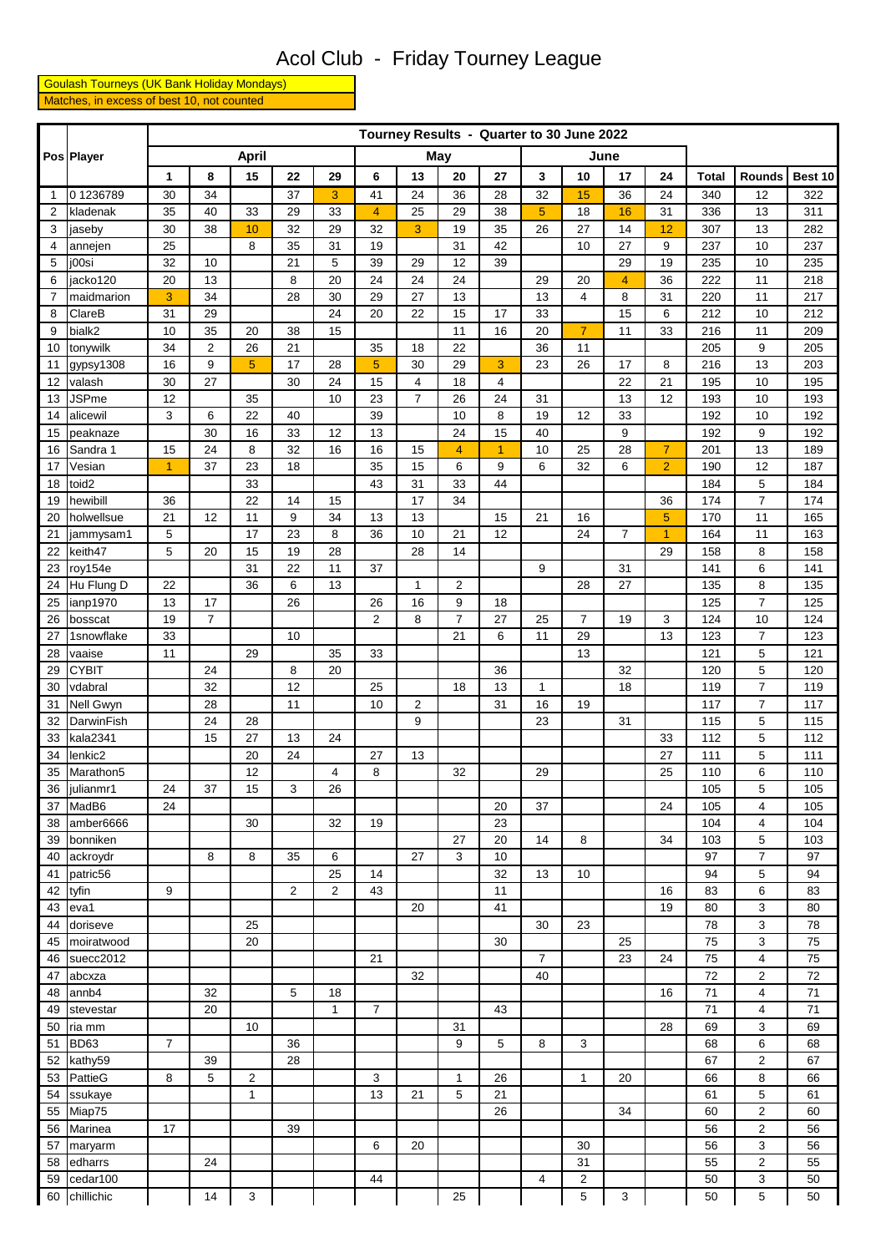## Acol Club - Friday Tourney League

 Goulash Tourneys (UK Bank Holiday Mondays) Matches, in excess of best 10, not counted

|                | Pos Player              | Tourney Results - Quarter to 30 June 2022 |                         |                |                |                |                |                |                |                |                |                |                |                |              |                     |            |
|----------------|-------------------------|-------------------------------------------|-------------------------|----------------|----------------|----------------|----------------|----------------|----------------|----------------|----------------|----------------|----------------|----------------|--------------|---------------------|------------|
|                |                         |                                           |                         | <b>April</b>   |                |                | May            |                |                |                |                |                | June           |                |              |                     |            |
|                |                         | 1                                         | 8                       | 15             | 22             | 29             | 6              | 13             | 20             | 27             | 3              | 10             | 17             | 24             | <b>Total</b> | Rounds              | Best 10    |
| $\overline{1}$ | 01236789                | 30                                        | 34                      |                | 37             | 3              | 41             | 24             | 36             | 28             | 32             | 15             | 36             | 24             | 340          | 12                  | 322        |
| $\overline{2}$ | kladenak                | 35                                        | 40                      | 33             | 29             | 33             | $\overline{4}$ | 25             | 29             | 38             | 5              | 18             | 16             | 31             | 336          | 13                  | 311        |
| 3              | jaseby                  | 30                                        | 38                      | 10             | 32             | 29             | 32             | 3              | 19             | 35             | 26             | 27             | 14             | 12             | 307          | 13                  | 282        |
| 4              | annejen                 | 25                                        |                         | 8              | 35             | 31             | 19             |                | 31             | 42             |                | 10             | 27             | 9              | 237          | 10                  | 237        |
| 5              | j00si                   | 32                                        | 10                      |                | 21             | 5              | 39             | 29             | 12             | 39             |                |                | 29             | 19             | 235          | 10                  | 235        |
| 6              | jacko120                | 20                                        | 13                      |                | 8              | 20             | 24             | 24             | 24             |                | 29             | 20             | $\overline{4}$ | 36             | 222          | 11                  | 218        |
| 7              | maidmarion              | 3                                         | 34                      |                | 28             | 30             | 29             | 27             | 13             |                | 13             | $\overline{4}$ | 8              | 31             | 220          | 11                  | 217        |
| 8              | ClareB                  | 31                                        | 29                      |                |                | 24             | 20             | 22             | 15             | 17             | 33             |                | 15             | 6              | 212          | 10                  | 212        |
| 9              | bialk2                  | 10                                        | 35                      | 20             | 38             | 15             |                |                | 11             | 16             | 20             | $\overline{7}$ | 11             | 33             | 216          | 11                  | 209        |
| 10             | tonywilk                | 34                                        | $\overline{\mathbf{c}}$ | 26             | 21             |                | 35             | 18             | 22             |                | 36             | 11             |                |                | 205          | 9                   | 205        |
| 11             | gypsy1308               | 16                                        | 9                       | 5              | 17             | 28             | 5              | 30<br>4        | 29             | 3              | 23             | 26             | 17             | 8              | 216          | 13                  | 203        |
| 12<br>13       | valash<br><b>JSPme</b>  | 30<br>12                                  | 27                      | 35             | 30             | 24<br>10       | 15<br>23       | $\overline{7}$ | 18<br>26       | 4<br>24        | 31             |                | 22<br>13       | 21<br>12       | 195<br>193   | 10<br>10            | 195<br>193 |
| 14             | alicewil                | 3                                         | 6                       | 22             | 40             |                | 39             |                | 10             | 8              | 19             | 12             | 33             |                | 192          | 10                  | 192        |
| 15             | peaknaze                |                                           | 30                      | 16             | 33             | 12             | 13             |                | 24             | 15             | 40             |                | 9              |                | 192          | 9                   | 192        |
| 16             | Sandra 1                | 15                                        | 24                      | 8              | 32             | 16             | 16             | 15             | $\overline{4}$ | $\overline{1}$ | 10             | 25             | 28             | $\overline{7}$ | 201          | 13                  | 189        |
| 17             | Vesian                  | $\overline{1}$                            | 37                      | 23             | 18             |                | 35             | 15             | 6              | 9              | 6              | 32             | 6              | $\overline{2}$ | 190          | 12                  | 187        |
| 18             | toid2                   |                                           |                         | 33             |                |                | 43             | 31             | 33             | 44             |                |                |                |                | 184          | 5                   | 184        |
| 19             | hewibill                | 36                                        |                         | 22             | 14             | 15             |                | 17             | 34             |                |                |                |                | 36             | 174          | $\overline{7}$      | 174        |
| 20             | holwellsue              | 21                                        | 12                      | 11             | 9              | 34             | 13             | 13             |                | 15             | 21             | 16             |                | 5              | 170          | 11                  | 165        |
| 21             | jammysam1               | 5                                         |                         | 17             | 23             | 8              | 36             | 10             | 21             | 12             |                | 24             | $\overline{7}$ | 1              | 164          | 11                  | 163        |
| 22             | keith47                 | 5                                         | 20                      | 15             | 19             | 28             |                | 28             | 14             |                |                |                |                | 29             | 158          | 8                   | 158        |
| 23             | roy154e                 |                                           |                         | 31             | 22             | 11             | 37             |                |                |                | 9              |                | 31             |                | 141          | 6                   | 141        |
| 24             | Hu Flung D              | 22                                        |                         | 36             | 6              | 13             |                | $\mathbf{1}$   | $\overline{2}$ |                |                | 28             | 27             |                | 135          | 8                   | 135        |
| 25             | ianp1970                | 13                                        | 17                      |                | 26             |                | 26             | 16             | 9              | 18             |                |                |                |                | 125          | $\overline{7}$      | 125        |
| 26             | bosscat                 | 19                                        | $\overline{7}$          |                |                |                | $\overline{2}$ | 8              | $\overline{7}$ | 27             | 25             | $\overline{7}$ | 19             | 3              | 124          | 10                  | 124        |
| 27             | 1snowflake              | 33                                        |                         |                | 10             |                |                |                | 21             | 6              | 11             | 29             |                | 13             | 123          | $\overline{7}$      | 123        |
| 28             | vaaise                  | 11                                        |                         | 29             |                | 35             | 33             |                |                |                |                | 13             |                |                | 121          | 5                   | 121        |
| 29<br>30       | <b>CYBIT</b><br>vdabral |                                           | 24<br>32                |                | 8<br>12        | 20             | 25             |                | 18             | 36<br>13       | $\mathbf{1}$   |                | 32<br>18       |                | 120<br>119   | 5<br>$\overline{7}$ | 120<br>119 |
| 31             | Nell Gwyn               |                                           | 28                      |                | 11             |                | 10             | $\overline{2}$ |                | 31             | 16             | 19             |                |                | 117          | $\overline{7}$      | 117        |
| 32             | <b>DarwinFish</b>       |                                           | 24                      | 28             |                |                |                | 9              |                |                | 23             |                | 31             |                | 115          | 5                   | 115        |
| 33             | kala2341                |                                           | 15                      | 27             | 13             | 24             |                |                |                |                |                |                |                | 33             | 112          | 5                   | 112        |
| 34             | lenkic2                 |                                           |                         | 20             | 24             |                | 27             | 13             |                |                |                |                |                | 27             | 111          | 5                   | 111        |
| 35             | Marathon5               |                                           |                         | 12             |                | $\overline{4}$ | 8              |                | 32             |                | 29             |                |                | 25             | 110          | 6                   | 110        |
| 36             | julianmr1               | 24                                        | 37                      | 15             | 3              | 26             |                |                |                |                |                |                |                |                | 105          | 5                   | 105        |
|                | 37 MadB6                | 24                                        |                         |                |                |                |                |                |                | 20             | 37             |                |                | 24             | 105          | 4                   | 105        |
| 38             | amber6666               |                                           |                         | 30             |                | 32             | 19             |                |                | 23             |                |                |                |                | 104          | $\overline{4}$      | 104        |
| 39             | bonniken                |                                           |                         |                |                |                |                |                | 27             | 20             | 14             | 8              |                | 34             | 103          | 5                   | 103        |
| 40             | ackroydr                |                                           | 8                       | 8              | 35             | 6              |                | 27             | 3              | 10             |                |                |                |                | 97           | $\overline{7}$      | 97         |
| 41             | patric56                |                                           |                         |                |                | 25             | 14             |                |                | 32             | 13             | 10             |                |                | 94           | 5                   | 94         |
| 42             | tyfin                   | 9                                         |                         |                | $\overline{2}$ | $\overline{2}$ | 43             |                |                | 11             |                |                |                | 16             | 83           | 6                   | 83         |
| 43             | eva1                    |                                           |                         |                |                |                |                | 20             |                | 41             |                |                |                | 19             | 80           | 3                   | 80         |
| 44             | doriseve                |                                           |                         | 25             |                |                |                |                |                |                | 30             | 23             |                |                | 78           | 3                   | 78         |
| 45             | moiratwood              |                                           |                         | 20             |                |                |                |                |                | 30             |                |                | 25             |                | 75           | 3                   | 75         |
| 46             | suecc2012               |                                           |                         |                |                |                | 21             |                |                |                | $\overline{7}$ |                | 23             | 24             | 75<br>72     | 4                   | 75<br>72   |
| 47<br>48       | abcxza<br>annb4         |                                           | 32                      |                | 5              | 18             |                | 32             |                |                | 40             |                |                | 16             | 71           | $\overline{2}$<br>4 | 71         |
| 49             | stevestar               |                                           | 20                      |                |                | $\mathbf{1}$   | $\overline{7}$ |                |                | 43             |                |                |                |                | 71           | $\overline{4}$      | 71         |
| 50             | ria mm                  |                                           |                         | 10             |                |                |                |                | 31             |                |                |                |                | 28             | 69           | 3                   | 69         |
| 51             | <b>BD63</b>             | $\overline{7}$                            |                         |                | 36             |                |                |                | 9              | 5              | 8              | 3              |                |                | 68           | 6                   | 68         |
| 52             | kathy59                 |                                           | 39                      |                | 28             |                |                |                |                |                |                |                |                |                | 67           | $\overline{2}$      | 67         |
| 53             | PattieG                 | 8                                         | 5                       | $\overline{c}$ |                |                | 3              |                | 1              | 26             |                | $\mathbf{1}$   | 20             |                | 66           | 8                   | 66         |
| 54             | ssukaye                 |                                           |                         | $\mathbf{1}$   |                |                | 13             | 21             | 5              | 21             |                |                |                |                | 61           | 5                   | 61         |
| 55             | Miap75                  |                                           |                         |                |                |                |                |                |                | 26             |                |                | 34             |                | 60           | $\boldsymbol{2}$    | 60         |
| 56             | Marinea                 | 17                                        |                         |                | 39             |                |                |                |                |                |                |                |                |                | 56           | $\overline{2}$      | 56         |
| 57             | maryarm                 |                                           |                         |                |                |                | 6              | 20             |                |                |                | 30             |                |                | 56           | 3                   | 56         |
| 58             | edharrs                 |                                           | 24                      |                |                |                |                |                |                |                |                | 31             |                |                | 55           | $\overline{2}$      | 55         |
| 59             | cedar100                |                                           |                         |                |                |                | 44             |                |                |                | 4              | $\overline{c}$ |                |                | 50           | 3                   | 50         |
| 60             | chillichic              |                                           | 14                      | 3              |                |                |                |                | 25             |                |                | 5              | 3              |                | 50           | 5                   | 50         |